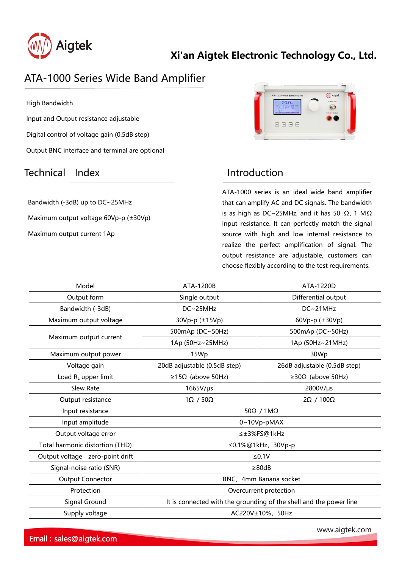

# **Xi'an Aigtek Electronic Technology Co., Ltd.**

# ATA-1000 Series Wide Band Amplifier

High Bandwidth

Input and Output resistance adjustable Digital control of voltage gain (0.5dB step) Output BNC interface and terminal are optional

## Technical Index **Introduction**

Bandwidth (-3dB) up to DC~25MHz Maximum output voltage 60Vp-p (±30Vp) Maximum output current 1Ap

| ATA-1200B Wide Band Amplifier              | Aigtek            |
|--------------------------------------------|-------------------|
| $20.0 -$<br><b>Acce</b> Vous<br><b>May</b> | Quaput(500)       |
| T0<br>Gis-<br>7200<br>New Output<br>Dread  | Output + Output = |
|                                            | c                 |
| page<br>Save  <br>$\hbar \omega$<br>Kis    |                   |

ATA-1000 series is an ideal wide band amplifier that can amplify AC and DC signals. The bandwidth is as high as DC~25MHz, and it has 50  $\Omega$ , 1 M $\Omega$ input resistance. It can perfectly match the signal source with high and low internal resistance to realize the perfect amplification of signal. The output resistance are adjustable, customers can choose flexibly according to the test requirements.

| Model                           | ATA-1200B                                                          | ATA-1220D                       |
|---------------------------------|--------------------------------------------------------------------|---------------------------------|
| Output form                     | Single output                                                      | Differential output             |
| Bandwidth (-3dB)                | DC~25MHz                                                           | DC~21MHz                        |
| Maximum output voltage          | 30Vp-p (±15Vp)                                                     | 60Vp-p (±30Vp)                  |
| Maximum output current          | 500mAp (DC~50Hz)                                                   | 500mAp (DC~50Hz)                |
|                                 | 1Ap (50Hz~25MHz)                                                   | 1Ap (50Hz~21MHz)                |
| Maximum output power            | 15Wp                                                               | 30Wp                            |
| Voltage gain                    | 20dB adjustable (0.5dB step)                                       | 26dB adjustable (0.5dB step)    |
| Load $R_L$ upper limit          | $\geq$ 15Ω (above 50Hz)                                            | $\geq$ 30 $\Omega$ (above 50Hz) |
| Slew Rate                       | $1665V/\mu s$                                                      | 2800V/µs                        |
| Output resistance               | $1\Omega / 50\Omega$                                               | 2Ω / 100Ω                       |
| Input resistance                | $50\Omega / 1M\Omega$                                              |                                 |
| Input amplitude                 | $0~10Vp$ -pMAX                                                     |                                 |
| Output voltage error            | ≤±3%FS@1kHz                                                        |                                 |
| Total harmonic distortion (THD) | ≤0.1%@1kHz, 30Vp-p                                                 |                                 |
| Output voltage zero-point drift | $≤0.1V$                                                            |                                 |
| Signal-noise ratio (SNR)        | $\geq 80dB$                                                        |                                 |
| <b>Output Connector</b>         | BNC、4mm Banana socket                                              |                                 |
| Protection                      | Overcurrent protection                                             |                                 |
| Signal Ground                   | It is connected with the grounding of the shell and the power line |                                 |
| Supply voltage                  | AC220V±10%, 50Hz                                                   |                                 |

www.aigtek.com